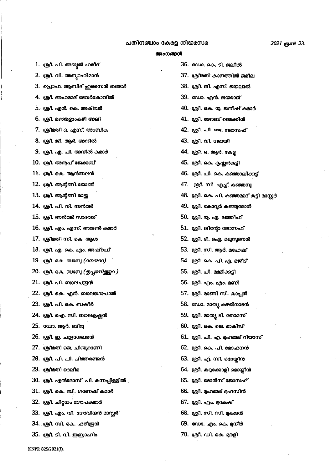## പതിനഞ്ചാം കേരള നിയമസഭ

| 1.  ശ്രീ. പി. അബൂൽ ഹമീദ്                    | 36. ഡോ. കെ. ടി. ജലീൽ                       |
|---------------------------------------------|--------------------------------------------|
| 2. ശ്രീ. വി. അബൂറഹിമാൻ                      | 37. ശ്രീമതി കാനത്തിൽ ജമീല                  |
| 3.  പ്രൊഫ. ആബിദ് ഹുസൈൻ തങ്ങൾ                | 38. ശ്രീ. ജി. എസ്. ജയലാൽ                   |
| 4. ശ്രീ. അഹമ്മദ് ദേവർകോവിൽ                  | 39. ഡോ. എൻ. ജയരാജ്                         |
| 5. ശ്രീ. എൻ. കെ. അക്ബർ                      | 40. ശ്രീ. കെ. യു. ജനീഷ് കമാർ               |
| 6. ശ്രീ. മഞ്ഞളാംകഴി അലി                     | 41. ശ്രീ. ജോബ് മൈക്കിൾ                     |
| 7. ശ്രീമതി ഒ. എസ്. അംബിക                    | 42. ശ്രീ. പി. ജെ. ജോസഫ്                    |
| 8. ശ്രീ. ജി. ആർ. അനിൽ                       | 43. ശ്രീ. വി. ജോയി                         |
| 9. ശ്രീ. എ. പി. അനിൽ കമാർ                   | 44. ശ്രീ. ഒ. ആർ. കേള                       |
| 10. ശ്രീ. അനുപ് ജേക്കബ്                     | 45. ശ്രീ. കെ. കൃഷ്ണൻകട്ടി                  |
| 11. ശ്രീ. കെ. ആൻസലൻ                         | 46. ശ്രീ. പി. കെ. കഞ്ഞാലിക്കുട്ടി          |
| 12. ശ്രീ. ആന്റണി ജോൺ                        | 47.   ശ്രീ. സി. എച്ച്. കഞ്ഞമ്പു            |
| 13. ശ്രീ. ആന്റണി രാജ്ജ                      | 48. ശ്രീ. കെ. പി. കഞ്ഞമ്മദ് കട്ടി മാസ്റ്റർ |
| 14. ശ്രീ. പി. വി. അൻവർ                      | 49. ശ്രീ. കോവൂർ കഞ്ഞുമോൻ                   |
| 15. ശ്രീ. അൻവർ സാദത്ത്                      | 50. ശ്രീ. യു. എ. ലത്തീഫ്                   |
| 16. ശ്രീ. എം. എസ്. അരുൺ കമാർ                | 51. ശ്രീ. ലിന്റോ ജോസഫ്                     |
| 17. ശ്രീമതി സി. കെ. ആശ                      | 52. ശ്രീ. ടി. ഐ. മധുസൂദനൻ                  |
| 18. ശ്രീ. എ. കെ. എം. അഷ്റഫ്                 | 53. ശ്രീ. സി. ആർ. മഹേഷ്                    |
| 19. ശ്രീ. കെ. ബാബു ( <i>നെന്മാറ)</i>        | 54. ശ്രീ. കെ. പി. എ. മജീദ്                 |
| 20.  ശ്രീ. കെ. ബാബു ( <i>തൃപ്പണിത്തുറ )</i> | 55. ശ്രീ. പി. മമ്മിക്കട്ടി                 |
| 21. ശ്രീ. പി. ബാലചന്ദ്രൻ                    | 56. ശ്രീ. എം. എം. മണി                      |
| 22. ശ്രീ. കെ. എൻ. ബാലഗോപാൽ                  | 57. ശ്രീ. മാണി സി. കാപ്പൻ                  |
| 23. ശ്രീ. പി. കെ. ബഷീർ                      | 58. ഡോ. മാതൃ കഴൽനാടൻ                       |
| 24. ശ്രീ. ഐ. സി. ബാലകൃഷ്ണൻ                  | 59. ശ്രീ. മാതൃ ടി. തോമസ്                   |
| 25. ഡോ. ആർ. ബിന്ദു                          | 60. ശ്രീ. കെ. ജെ. മാക്സി                   |
| 26. ശ്രീ. ഇ. ചന്ദ്രശേഖരൻ                    | 61. ശ്രീ. പി. എ. ഫേമ്മദ് റിയാസ്            |
| 27. ശ്രീമതി ജെ. ചിഞ്ചറാണി                   | 62. ശ്രീ. കെ. പി. മോഹനൻ                    |
| 28. ശ്രീ. പി. പി. ചിത്തരഞ്ജൻ                | 63. ശ്രീ. എ. സി. മൊയ്ലീൻ                   |
| 29. ശ്രീമതി ദെലീമ                           | 64. ശ്രീ. കറുക്കോളി മൊയ്ലീൻ                |
| 30. ശ്രീ. എൽദോസ് പി. കന്നപ്പിള്ളിൽ j        | 65. ശ്രീ. മോൻസ് ജോസഫ്                      |
| 31. ശ്രീ. കെ. ബി. ഗണേഷ് കമാർ                | 66. ശ്രീ. മുഹമ്മദ് മുഹസിൻ                  |
| 32. ശ്രീ. ചിറ്റയം ഗോപകമാർ                   | 67. ശ്രീ. എം. മുകേഷ്                       |
| 33.  ശ്രീ. എം. വി. ഗോവിന്ദൻ മാസ്റ്റർ1       | 68. ശ്രീ. സി. സി. മുകന്ദൻ                  |
| 34. ശ്രീ. സി. കെ. ഹരീന്ദ്രൻ                 | 69. ഡോ. എം. കെ. മുനീർ                      |
| 35. ശ്രീ. ടി. വി. ഇബ്രാഹി <u>ം</u>          | 70. ശ്രീ. ഡി. കെ. മുരളി                    |

KNPP. 825/2021(i).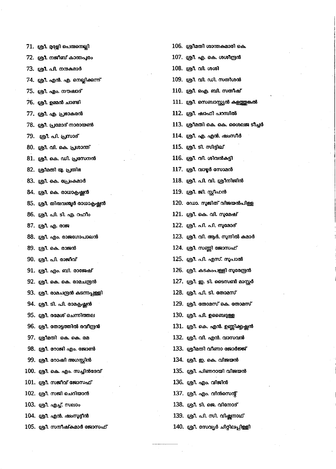| 71. ശ്രീ. മരളി പെരുനെല്ലി         | 106.  ശ്രീമതി ശാന്തകമാരി കെ.     |
|-----------------------------------|----------------------------------|
| 72. ശ്രീ. നജീബ് കാന്തപുരം         | 107. ശ്രീ. എ. കെ. ശശീന്ദ്രൻ      |
| 73. ശ്രീ. പി. നന്ദകമാർ            | 108. ശ്രീ. വി. ശശി               |
| 74. ശ്രീ. എൻ. എ. നെല്ലിക്കുന്ന്   | 109. ശ്രീ. വി. ഡി. സതീശൻ         |
| 75. ശ്രീ. എം. നൗഷാദ്              | 110. ശ്രീ. ഐ. ബി. സതീഷ്          |
| 76. ശ്രീ. ഉമ്മൻ ചാണ്ടി            | 111. ശ്രീ. സെബാസ്റ്റ്യൻ കളത്തു   |
| 77. ശ്രീ. എ. പ്രഭാകരൻ             | 112. ശ്രീ. ഷാഫി പറമ്പിൽ          |
| 78. ശ്രീ. പ്രമോദ് നാരായൺ          | 113. ശ്രീമതി കെ. കെ. ശൈലഃ        |
| 79. ശ്രീ. പി. പ്രസാദ്             | 114. ശ്രീ. എ. എൻ. ഷംസീർ          |
| 80. ശ്രീ. വി. കെ. പ്രശാന്ത്       | 115. ശ്രീ. ടി. സിദ്ദിഖ്          |
| 81. ശ്രീ. കെ. ഡി. പ്രസേനൻ         | 116. ശ്രീ. വി. ശിവൻകട്ടി         |
| 82. ശ്രീമതി യു. പ്രതിഭ            | $117.$ ശ്രീ. വാഴ്ചർ സോമൻ         |
| 83. ശ്രീ. കെ. പ്രേംകമാർ           | 118. ശ്രീ. പി. വി. ശ്രീനിജിൻ     |
| 84. ശ്രീ. കെ. രാധാകൃഷ്ണൻ          | 119. ശ്രീ. ജി. സ്റ്റീഫൻ          |
| 85. ശ്രീ. തിരുവഞ്ചൂർ രാധാകൃഷ്ണൻ   | 120. ഡോ. സൂജിത് വിജയൻപി          |
| 86. ശ്രീ. പി. ടി. എ. റഹീം         | 121. ശ്രീ. കെ. വി. സുമേഷ്        |
| 87. ശ്രീ. എ. രാജ                  | 122. ശ്രീ. പി. പി. സുമോദ്        |
| 88. ശ്രീ. എം. രാജഗോപാലൻ           | 123. ശ്രീ. വി. ആർ. സുനിൽ കു      |
| 89. ശ്രീ. കെ. രാജൻ                | 124. ശ്രീ. സണ്ണി ജോസഫ്           |
| 90. ശ്രീ. പി. രാജീവ്              | 125. ശ്രീ. പി. എസ്. സുപാൽ        |
| 91. ശ്രീ. എം. ബി. രാജേഷ്          | 126. ശ്രീ. കടകംപള്ളി സൂരേന്ദ്ര   |
| 92. ശ്രീ. കെ. കെ. രാമചന്ദ്രൻ      | 127. ശ്രീ. ഇ. ടി. ടൈസൺ മാറ്റ     |
| 93. ശ്രീ. രാമചന്ദ്രൻ കടന്നപ്പള്ളി | 128. ശ്രീ. പി. ടി. തോമസ്         |
| 94. ശ്രീ. ടി. പി. രാമകൃഷ്ണൻ       | 129. ശ്രീ. തോമസ് കെ. തോമ്        |
| 95. ശ്രീ. രമേശ് ചെന്നിത്തല        | 130. ஞி. പി. ഉബൈദുള്ള            |
| 96. ശ്രീ. തോട്ടത്തിൽ രവീന്ദ്രൻ    | 131. ശ്രീ. കെ. എൻ. ഉണ്ണിക്കൃഷ്മ  |
| 97. ശ്രീമതി കെ. കെ. രമ            | 132. ശ്രീ. വി. എൻ. വാസവൻ         |
| 98. ശ്രീ. റോജി എം. ജോൺ            | 133. ശ്രീമതി വീണാ ജോർജ്ജ്        |
| 99. ശ്രീ. റോഷി അഗസ്റ്റിൻ          | 134. ശ്രീ. ഇ. കെ. വിജയൻ          |
| 100. ശ്രീ. കെ. എം. സച്ചിൻദേവ്     | 135. ശ്രീ. പിണറായി വിജയൻ         |
| $101.$ ശ്രീ. സജീവ് ജോസഫ്          | 136. ശ്രീ. എം. വിജിൻ             |
| 102. ശ്രീ. സജി ചെറിയാൻ            | 137. ശ്രീ. എം. വിൻസെന്റ്         |
| 103. ശ്രീ. എച്ച്. സലാം            | 138. ശ്രീ. ടി. ജെ. വിനോദ്        |
| 104. ശ്രീ. എൻ. ഷംസുദ്ദീൻ          | 139. ശ്രീ. പി. സി. വിഷ്ണനാഥ്     |
| 105. ശ്രീ. സനീഷ്കമാർ ജോസഫ്        | 140. ശ്രീ. സേവ്യർ ചിറ്റിലപ്പിള്ള |
|                                   |                                  |

| 07. ശ്രീ. എ. കെ. ശശ <mark>ീ</mark> ന്ദ്രൻ          |
|----------------------------------------------------|
| 08. ശ്രീ. വി. ശശി                                  |
| 09. ശ്രീ. വി. ഡി. സതീശൻ                            |
| 10. ശ്രീ. ഐ. ബി. സതീഷ്                             |
| .11. ശ്രീ. സെബാസ്റ്റ്യൻ കളത്തുങ്കൽ                 |
| .12. ശ്രീ. ഷാഫി പറമ്പിൽ                            |
| .13. ശ്രീമതി കെ. കെ. ശൈലജ ടീച്ചർ                   |
| 14. ശ്രീ. എ. എൻ. <mark>ഷ</mark> ംസീർ               |
| 15. ശ്രീ. ടി. സിദ്ദിഖ്                             |
| .16. ശ്രീ. വി. ശിവൻകട്ടി                           |
| .17. ശ്രീ. വാ <mark>ഴ്ചർ സോമൻ</mark>               |
| .18. ശ്രീ. പി. വി. ശ്രീനിജിൻ                       |
| .19. ശ്രീ. ജി. സ്റ്റീഫൻ                            |
| .20. ഡോ. സുജിത് വിജയൻപിള്ള                         |
| 21. ശ്രീ. കെ. വി. സുമേഷ്                           |
| .22. ശ്രീ. പി. പി. സുമോദ്                          |
| .23.  ശ്രീ. വി. ആർ. സുനിൽ കമാർ                     |
| .24. ശ്രീ. സണ്ണി ജോസഫ്                             |
| .25. ശ്രീ. പി. എസ്. സ <mark>ൂപാൽ</mark>            |
| .26. ശ്രീ. കടകംപള്ളി സൂരേന്ദ്രൻ                    |
| .27. ശ്രീ. ഇ. ടി. ടൈസൺ മാസ്റ്റർ                    |
| :28. ശ്രീ. പി. ടി. തോമസ്                           |
| .29. ശ്രീ. തോമസ് കെ. തോ <mark>മസ്</mark>           |
| !30. ശ്രീ. പി. ഉബൈ <u>ദ്ദള്ള</u>                   |
| .<br>31. ശ്രീ. കെ. എൻ. ഉണ്ണിക് <mark>കഷ്</mark> ഷൻ |
| !32. ശ്രീ. വി. എൻ. വാസവൻ                           |
| .33. ശ്രീമതി വീണാ ജോർജ്ജ്                          |
| !34. ശ്രീ. ഇ. കെ. വിജയൻ                            |
| l35. ശ്രീ. പിണറായി വിജയൻ                           |
| l36. ശ്രീ. എം. വിജിൻ                               |
| .<br>137. ശ്രീ. എം. വിൻസെന്റ്                      |
| l38. ശ്രീ. ടി. <mark>ജെ.</mark> വിനോദ്             |
| l39.  ശ്രീ. പി. സി. വിഷ്ണനാഥ്                      |

സേവ്യർ ചിറ്റിലപ്പിള്ളി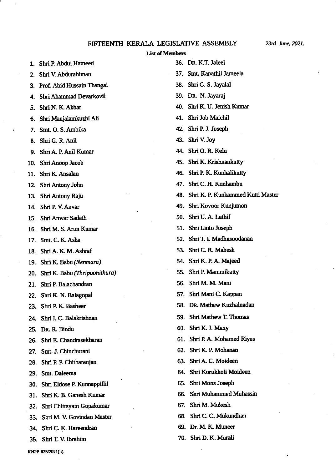## FIFTEENTH KERALA LEGISLATIVE ASSEMBLY

## **List of Members**

| 1.  | Shri P. Abdul Hameed          |     | 36. DR. K.T. Jaleel                   |
|-----|-------------------------------|-----|---------------------------------------|
| 2.  | Shri V. Abdurahiman           |     | 37. Smt. Kanathil Jameela             |
|     | Prof. Abid Hussain Thangal    |     | 38. Shri G. S. Jayalal                |
| 4.  | Shri Ahammad Devarkovil       |     | 39. DR. N. Jayaraj                    |
| 5.  | Shri N. K. Akbar              |     | 40. Shri K. U. Jenish Kumar           |
| 6.  | Shri Manjalamkuzhi Ali        |     | 41. Shri Job Maichil                  |
| 7.  | Smt. O. S. Ambika             |     | 42. Shri P. J. Joseph                 |
| 8.  | Shri G. R. Anil               |     | 43. Shri V. Joy                       |
| 9.  | Shri A. P. Anil Kumar         |     | 44. Shri O. R. Kelu                   |
|     | 10. Shri Anoop Jacob          |     | 45. Shri K. Krishnankutty             |
| 11. | Shri K. Ansalan               |     | 46. Shri P. K. Kunhalikutty           |
|     | 12. Shri Antony John          |     | 47. Shri C. H. Kunhambu               |
| 13. | Shri Antony Raju              |     | 48. Shri K. P. Kunhammed Kutti Master |
|     | 14. Shri P. V. Anvar          |     | 49. Shri Kovoor Kunjumon              |
|     | 15. Shri Anwar Sadath.        | 50. | Shri U.A. Lathif                      |
| 16. | Shri M. S. Arun Kumar         |     | 51. Shri Linto Joseph                 |
| 17. | Smt. C. K. Asha               | 52. | Shri T. I. Madhusoodanan              |
| 18. | Shri A. K. M. Ashraf          | 53. | Shri C. R. Mahesh                     |
| 19. | Shri K. Babu (Nenmara)        |     | 54. Shri K. P. A. Majeed              |
| 20. | Shri K. Babu (Thripoonithura) |     | 55. Shri P. Mammikutty                |
| 21. | Shri P. Balachandran          | 56. | Shri M. M. Mani                       |
|     | 22. Shri K. N. Balagopal      | 57. | Shri Mani C. Kappan                   |
| 23. | Shri P. K. Basheer            |     | 58. DR. Mathew Kuzhalnadan            |
|     | 24. Shri I. C. Balakrishnan   |     | 59. Shri Mathew T. Thomas             |
|     | 25. DR. R. Bindu              |     | 60. Shri K. J. Maxy                   |
| 26. | Shri E. Chandrasekharan       |     | 61. Shri P.A. Mohamed Riyas           |
| 27. | Smt. J. Chinchurani           | 62. | Shri K. P. Mohanan                    |
|     | 28. Shri P. P. Chitharanjan   |     | 63. Shri A. C. Moideen                |
| 29. | Smt. Daleema                  |     | 64. Shri Kurukkoli Moideen            |
| 30. | Shri Eldose P. Kunnappillil   |     | 65. Shri Mons Joseph                  |
| 31. | Shri K. B. Ganesh Kumar       |     | 66. Shri Muhammed Muhassin            |
| 32. | Shri Chittayam Gopakumar      |     | 67. Shri M. Mukesh                    |
| 33. | Shri M. V. Govindan Master    |     | 68. Shri C. C. Mukundhan              |
|     | 34. Shri C. K. Hareendran     |     | 69. Dr. M. K. Muneer                  |
|     | 35. Shri T.V. Ibrahim         |     | 70. Shri D. K. Murali                 |